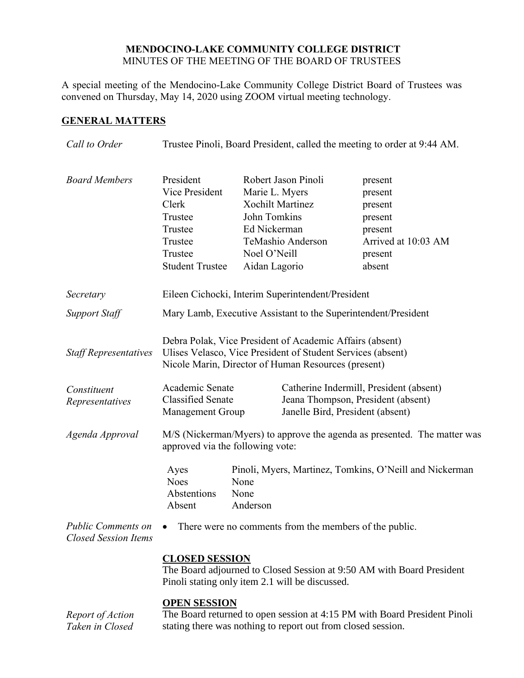## **MENDOCINO-LAKE COMMUNITY COLLEGE DISTRICT** MINUTES OF THE MEETING OF THE BOARD OF TRUSTEES

A special meeting of the Mendocino-Lake Community College District Board of Trustees was convened on Thursday, May 14, 2020 using ZOOM virtual meeting technology.

## **GENERAL MATTERS**

*Taken in Closed* 

| Call to Order                                            | Trustee Pinoli, Board President, called the meeting to order at 9:44 AM.                                                                                                       |                                                                                                                                                        |                                                                                                                   |                                                                                                 |  |
|----------------------------------------------------------|--------------------------------------------------------------------------------------------------------------------------------------------------------------------------------|--------------------------------------------------------------------------------------------------------------------------------------------------------|-------------------------------------------------------------------------------------------------------------------|-------------------------------------------------------------------------------------------------|--|
| <b>Board Members</b>                                     | President<br><b>Vice President</b><br>Clerk<br>Trustee<br>Trustee<br>Trustee<br>Trustee<br><b>Student Trustee</b>                                                              | Robert Jason Pinoli<br>Marie L. Myers<br><b>Xochilt Martinez</b><br>John Tomkins<br>Ed Nickerman<br>TeMashio Anderson<br>Noel O'Neill<br>Aidan Lagorio |                                                                                                                   | present<br>present<br>present<br>present<br>present<br>Arrived at 10:03 AM<br>present<br>absent |  |
| Secretary                                                | Eileen Cichocki, Interim Superintendent/President                                                                                                                              |                                                                                                                                                        |                                                                                                                   |                                                                                                 |  |
| <b>Support Staff</b>                                     | Mary Lamb, Executive Assistant to the Superintendent/President                                                                                                                 |                                                                                                                                                        |                                                                                                                   |                                                                                                 |  |
| <b>Staff Representatives</b>                             | Debra Polak, Vice President of Academic Affairs (absent)<br>Ulises Velasco, Vice President of Student Services (absent)<br>Nicole Marin, Director of Human Resources (present) |                                                                                                                                                        |                                                                                                                   |                                                                                                 |  |
| Constituent<br>Representatives                           | Academic Senate<br><b>Classified Senate</b><br><b>Management Group</b>                                                                                                         |                                                                                                                                                        | Catherine Indermill, President (absent)<br>Jeana Thompson, President (absent)<br>Janelle Bird, President (absent) |                                                                                                 |  |
| Agenda Approval                                          | M/S (Nickerman/Myers) to approve the agenda as presented. The matter was<br>approved via the following vote:                                                                   |                                                                                                                                                        |                                                                                                                   |                                                                                                 |  |
|                                                          | Ayes<br><b>Noes</b><br>Abstentions<br>Absent                                                                                                                                   | Pinoli, Myers, Martinez, Tomkins, O'Neill and Nickerman<br>None<br>None<br>Anderson                                                                    |                                                                                                                   |                                                                                                 |  |
| <b>Public Comments on</b><br><b>Closed Session Items</b> | There were no comments from the members of the public.                                                                                                                         |                                                                                                                                                        |                                                                                                                   |                                                                                                 |  |
|                                                          | <b>CLOSED SESSION</b><br>The Board adjourned to Closed Session at 9:50 AM with Board President<br>Pinoli stating only item 2.1 will be discussed.                              |                                                                                                                                                        |                                                                                                                   |                                                                                                 |  |
| Report of Action<br>Taken in Closed                      | <b>OPEN SESSION</b><br>The Board returned to open session at 4:15 PM with Board President Pinoli<br>stating there was nothing to report out from closed session.               |                                                                                                                                                        |                                                                                                                   |                                                                                                 |  |